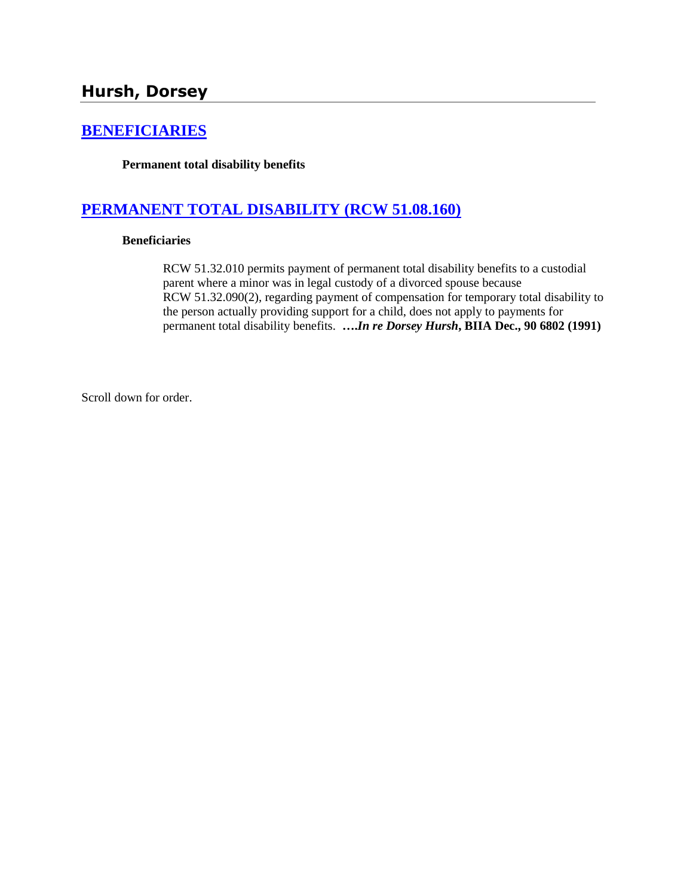# **[BENEFICIARIES](http://www.biia.wa.gov/SDSubjectIndex.html#BENEFICIARIES)**

**Permanent total disability benefits**

# **[PERMANENT TOTAL DISABILITY \(RCW 51.08.160\)](http://www.biia.wa.gov/SDSubjectIndex.html#PERMANENT_TOTAL_DISABILITY)**

### **Beneficiaries**

RCW 51.32.010 permits payment of permanent total disability benefits to a custodial parent where a minor was in legal custody of a divorced spouse because RCW 51.32.090(2), regarding payment of compensation for temporary total disability to the person actually providing support for a child, does not apply to payments for permanent total disability benefits. **….***In re Dorsey Hursh***, BIIA Dec., 90 6802 (1991)**

Scroll down for order.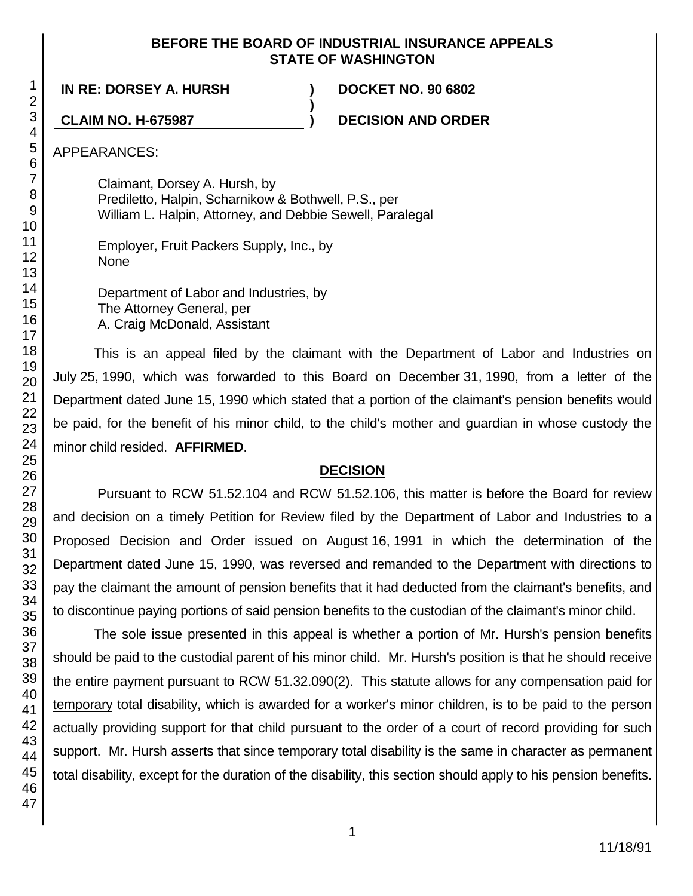### **BEFORE THE BOARD OF INDUSTRIAL INSURANCE APPEALS STATE OF WASHINGTON**

**)**

**IN RE: DORSEY A. HURSH ) DOCKET NO. 90 6802**

**CLAIM NO. H-675987 ) DECISION AND ORDER**

APPEARANCES:

Claimant, Dorsey A. Hursh, by Prediletto, Halpin, Scharnikow & Bothwell, P.S., per William L. Halpin, Attorney, and Debbie Sewell, Paralegal

Employer, Fruit Packers Supply, Inc., by None

Department of Labor and Industries, by The Attorney General, per A. Craig McDonald, Assistant

This is an appeal filed by the claimant with the Department of Labor and Industries on July 25, 1990, which was forwarded to this Board on December 31, 1990, from a letter of the Department dated June 15, 1990 which stated that a portion of the claimant's pension benefits would be paid, for the benefit of his minor child, to the child's mother and guardian in whose custody the minor child resided. **AFFIRMED**.

## **DECISION**

Pursuant to RCW 51.52.104 and RCW 51.52.106, this matter is before the Board for review and decision on a timely Petition for Review filed by the Department of Labor and Industries to a Proposed Decision and Order issued on August 16, 1991 in which the determination of the Department dated June 15, 1990, was reversed and remanded to the Department with directions to pay the claimant the amount of pension benefits that it had deducted from the claimant's benefits, and to discontinue paying portions of said pension benefits to the custodian of the claimant's minor child.

The sole issue presented in this appeal is whether a portion of Mr. Hursh's pension benefits should be paid to the custodial parent of his minor child. Mr. Hursh's position is that he should receive the entire payment pursuant to RCW 51.32.090(2). This statute allows for any compensation paid for temporary total disability, which is awarded for a worker's minor children, is to be paid to the person actually providing support for that child pursuant to the order of a court of record providing for such support. Mr. Hursh asserts that since temporary total disability is the same in character as permanent total disability, except for the duration of the disability, this section should apply to his pension benefits.

1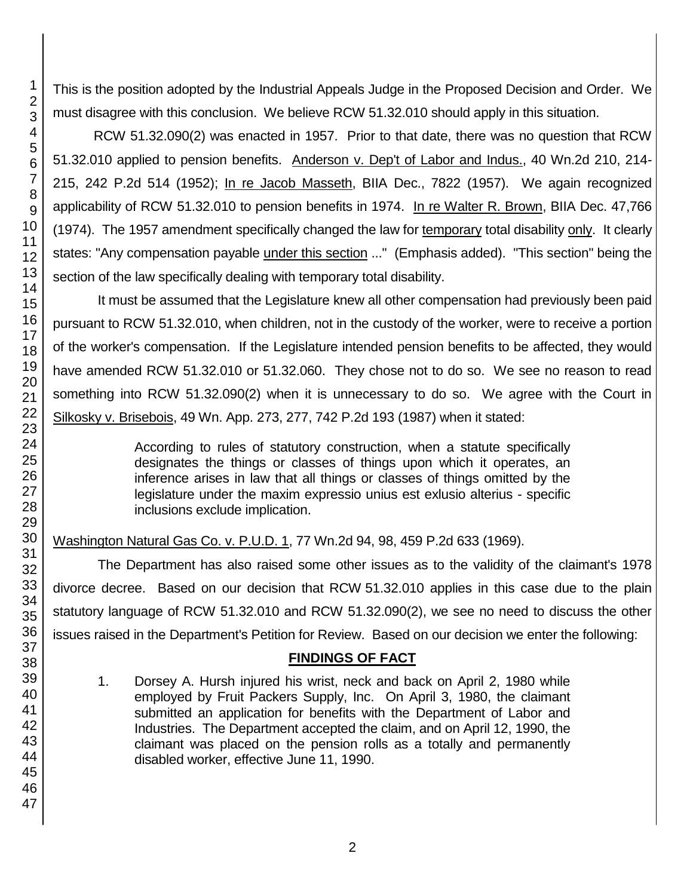This is the position adopted by the Industrial Appeals Judge in the Proposed Decision and Order. We must disagree with this conclusion. We believe RCW 51.32.010 should apply in this situation.

RCW 51.32.090(2) was enacted in 1957. Prior to that date, there was no question that RCW 51.32.010 applied to pension benefits. Anderson v. Dep't of Labor and Indus., 40 Wn.2d 210, 214-215, 242 P.2d 514 (1952); In re Jacob Masseth, BIIA Dec., 7822 (1957). We again recognized applicability of RCW 51.32.010 to pension benefits in 1974. In re Walter R. Brown, BIIA Dec. 47,766 (1974). The 1957 amendment specifically changed the law for temporary total disability only. It clearly states: "Any compensation payable under this section ..." (Emphasis added). "This section" being the section of the law specifically dealing with temporary total disability.

It must be assumed that the Legislature knew all other compensation had previously been paid pursuant to RCW 51.32.010, when children, not in the custody of the worker, were to receive a portion of the worker's compensation. If the Legislature intended pension benefits to be affected, they would have amended RCW 51.32.010 or 51.32.060. They chose not to do so. We see no reason to read something into RCW 51.32.090(2) when it is unnecessary to do so. We agree with the Court in Silkosky v. Brisebois, 49 Wn. App. 273, 277, 742 P.2d 193 (1987) when it stated:

> According to rules of statutory construction, when a statute specifically designates the things or classes of things upon which it operates, an inference arises in law that all things or classes of things omitted by the legislature under the maxim expressio unius est exlusio alterius - specific inclusions exclude implication.

Washington Natural Gas Co. v. P.U.D. 1, 77 Wn.2d 94, 98, 459 P.2d 633 (1969).

The Department has also raised some other issues as to the validity of the claimant's 1978 divorce decree. Based on our decision that RCW 51.32.010 applies in this case due to the plain statutory language of RCW 51.32.010 and RCW 51.32.090(2), we see no need to discuss the other issues raised in the Department's Petition for Review. Based on our decision we enter the following:

# **FINDINGS OF FACT**

1. Dorsey A. Hursh injured his wrist, neck and back on April 2, 1980 while employed by Fruit Packers Supply, Inc. On April 3, 1980, the claimant submitted an application for benefits with the Department of Labor and Industries. The Department accepted the claim, and on April 12, 1990, the claimant was placed on the pension rolls as a totally and permanently disabled worker, effective June 11, 1990.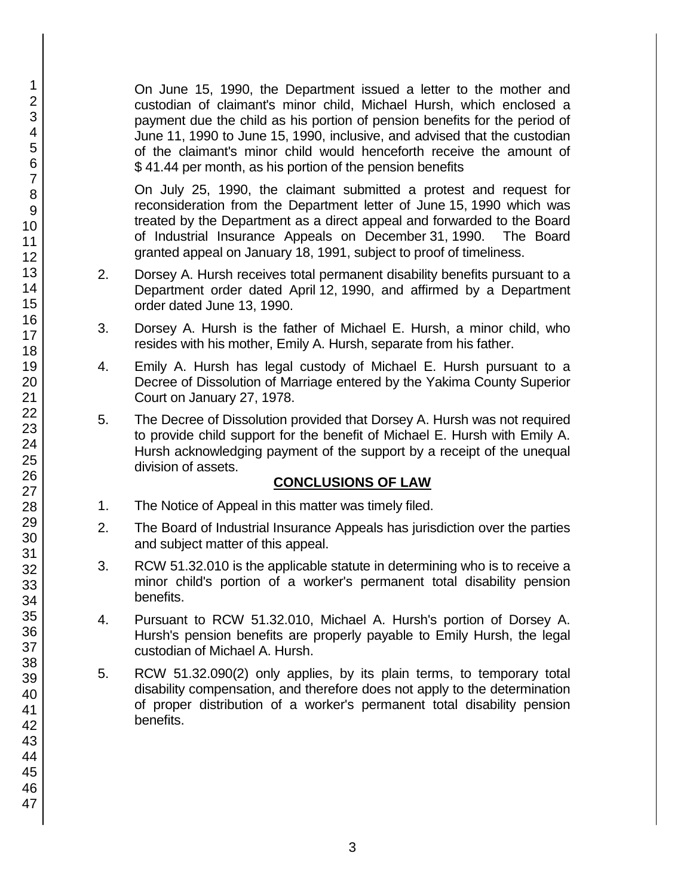On June 15, 1990, the Department issued a letter to the mother and custodian of claimant's minor child, Michael Hursh, which enclosed a payment due the child as his portion of pension benefits for the period of June 11, 1990 to June 15, 1990, inclusive, and advised that the custodian of the claimant's minor child would henceforth receive the amount of \$ 41.44 per month, as his portion of the pension benefits

On July 25, 1990, the claimant submitted a protest and request for reconsideration from the Department letter of June 15, 1990 which was treated by the Department as a direct appeal and forwarded to the Board of Industrial Insurance Appeals on December 31, 1990. The Board granted appeal on January 18, 1991, subject to proof of timeliness.

- 2. Dorsey A. Hursh receives total permanent disability benefits pursuant to a Department order dated April 12, 1990, and affirmed by a Department order dated June 13, 1990.
- 3. Dorsey A. Hursh is the father of Michael E. Hursh, a minor child, who resides with his mother, Emily A. Hursh, separate from his father.
- 4. Emily A. Hursh has legal custody of Michael E. Hursh pursuant to a Decree of Dissolution of Marriage entered by the Yakima County Superior Court on January 27, 1978.
- 5. The Decree of Dissolution provided that Dorsey A. Hursh was not required to provide child support for the benefit of Michael E. Hursh with Emily A. Hursh acknowledging payment of the support by a receipt of the unequal division of assets.

## **CONCLUSIONS OF LAW**

- 1. The Notice of Appeal in this matter was timely filed.
- 2. The Board of Industrial Insurance Appeals has jurisdiction over the parties and subject matter of this appeal.
- 3. RCW 51.32.010 is the applicable statute in determining who is to receive a minor child's portion of a worker's permanent total disability pension benefits.
- 4. Pursuant to RCW 51.32.010, Michael A. Hursh's portion of Dorsey A. Hursh's pension benefits are properly payable to Emily Hursh, the legal custodian of Michael A. Hursh.
- 5. RCW 51.32.090(2) only applies, by its plain terms, to temporary total disability compensation, and therefore does not apply to the determination of proper distribution of a worker's permanent total disability pension benefits.

1